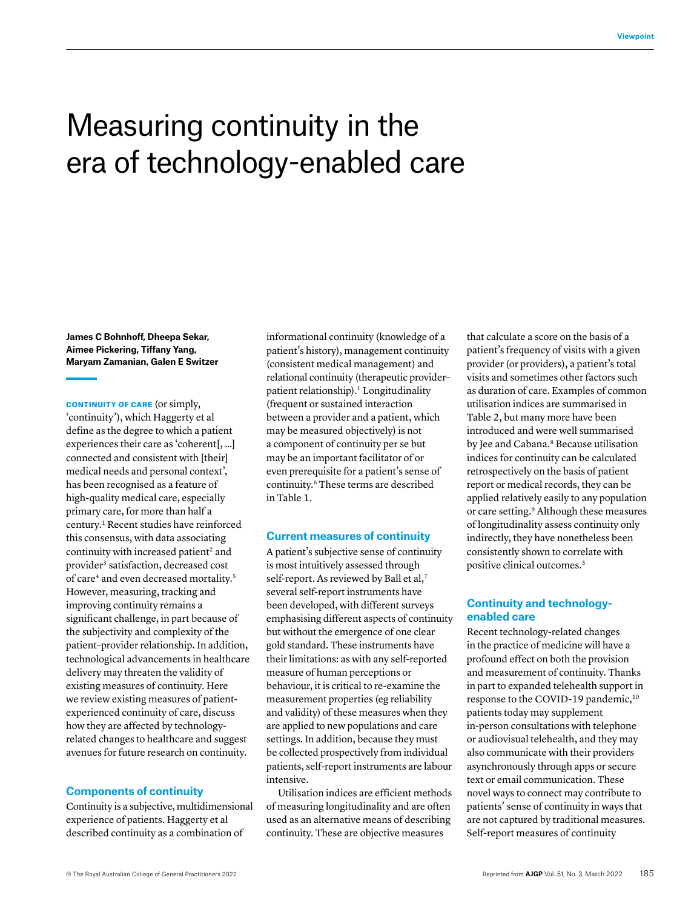# Measuring continuity in the era of technology-enabled care

**James C Bohnhoff, Dheepa Sekar, Aimee Pickering, Tiffany Yang, Maryam Zamanian, Galen E Switzer**

CONTINUITY OF CARE (or simply, 'continuity'), which Haggerty et al define as the degree to which a patient experiences their care as 'coherent[, …] connected and consistent with [their] medical needs and personal context', has been recognised as a feature of high-quality medical care, especially primary care, for more than half a century.1 Recent studies have reinforced this consensus, with data associating continuity with increased patient<sup>2</sup> and provider<sup>3</sup> satisfaction, decreased cost of care<sup>4</sup> and even decreased mortality.<sup>5</sup> However, measuring, tracking and improving continuity remains a significant challenge, in part because of the subjectivity and complexity of the patient–provider relationship. In addition, technological advancements in healthcare delivery may threaten the validity of existing measures of continuity. Here we review existing measures of patientexperienced continuity of care, discuss how they are affected by technologyrelated changes to healthcare and suggest avenues for future research on continuity.

### **Components of continuity**

Continuity is a subjective, multidimensional experience of patients. Haggerty et al described continuity as a combination of

informational continuity (knowledge of a patient's history), management continuity (consistent medical management) and relational continuity (therapeutic provider– patient relationship).<sup>1</sup> Longitudinality (frequent or sustained interaction between a provider and a patient, which may be measured objectively) is not a component of continuity per se but may be an important facilitator of or even prerequisite for a patient's sense of continuity.6 These terms are described in Table 1.

### **Current measures of continuity**

A patient's subjective sense of continuity is most intuitively assessed through self-report. As reviewed by Ball et al,<sup>7</sup> several self-report instruments have been developed, with different surveys emphasising different aspects of continuity but without the emergence of one clear gold standard. These instruments have their limitations: as with any self-reported measure of human perceptions or behaviour, it is critical to re-examine the measurement properties (eg reliability and validity) of these measures when they are applied to new populations and care settings. In addition, because they must be collected prospectively from individual patients, self-report instruments are labour intensive.

Utilisation indices are efficient methods of measuring longitudinality and are often used as an alternative means of describing continuity. These are objective measures

that calculate a score on the basis of a patient's frequency of visits with a given provider (or providers), a patient's total visits and sometimes other factors such as duration of care. Examples of common utilisation indices are summarised in Table 2, but many more have been introduced and were well summarised by Jee and Cabana.<sup>8</sup> Because utilisation indices for continuity can be calculated retrospectively on the basis of patient report or medical records, they can be applied relatively easily to any population or care setting.9 Although these measures of longitudinality assess continuity only indirectly, they have nonetheless been consistently shown to correlate with positive clinical outcomes.<sup>5</sup>

# **Continuity and technologyenabled care**

Recent technology-related changes in the practice of medicine will have a profound effect on both the provision and measurement of continuity. Thanks in part to expanded telehealth support in response to the COVID-19 pandemic,<sup>10</sup> patients today may supplement in-person consultations with telephone or audiovisual telehealth, and they may also communicate with their providers asynchronously through apps or secure text or email communication. These novel ways to connect may contribute to patients' sense of continuity in ways that are not captured by traditional measures. Self-report measures of continuity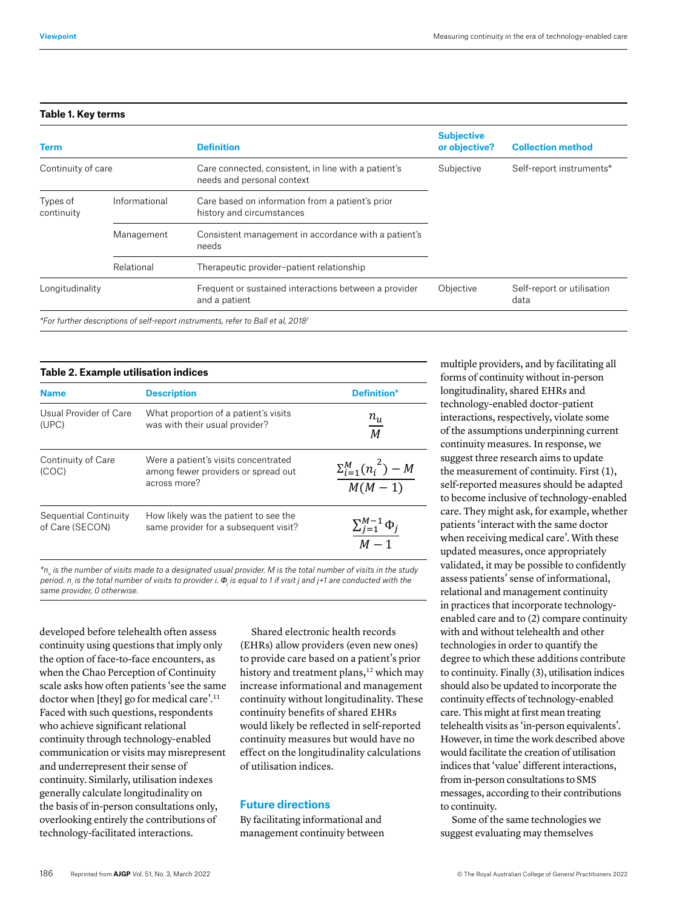**Table 2.** Example utilisation indices

# **Table 1. Key terms**

|               | <b>Definition</b>                                                                  | <b>Subjective</b><br>or objective? | <b>Collection method</b>           |
|---------------|------------------------------------------------------------------------------------|------------------------------------|------------------------------------|
|               | Care connected, consistent, in line with a patient's<br>needs and personal context | Subjective                         | Self-report instruments*           |
| Informational | Care based on information from a patient's prior<br>history and circumstances      |                                    |                                    |
| Management    | Consistent management in accordance with a patient's<br>needs                      |                                    |                                    |
| Relational    | Therapeutic provider-patient relationship                                          |                                    |                                    |
|               | Frequent or sustained interactions between a provider<br>and a patient             | Objective                          | Self-report or utilisation<br>data |
|               | Continuity of care                                                                 |                                    |                                    |

**Name Description Definition\***

| <b>Name</b>                              | <b>Description</b>                                                                          | <b>Definition*</b>                            |
|------------------------------------------|---------------------------------------------------------------------------------------------|-----------------------------------------------|
| Usual Provider of Care<br>(UPC)          | What proportion of a patient's visits<br>was with their usual provider?                     | $n_u$<br>$\overline{M}$                       |
| Continuity of Care<br>(COC)              | Were a patient's visits concentrated<br>among fewer providers or spread out<br>across more? | $\frac{\sum_{i=1}^{M} (n_i^{2}) - M}{M(M-1)}$ |
| Sequential Continuity<br>of Care (SECON) | How likely was the patient to see the<br>same provider for a subsequent visit?              |                                               |

*n<sub>u</sub>* is the number of visits made to a designated usual provider. M is the total number of visits in the stud<br>period. n<sub>i</sub> is the total number of visits to provider i.  $\Phi_{_{\rm j}}$  is equal to 1 if visit j and j+1 are cond *\*nu is the number of visits made to a designated usual provider. M is the total number of visits in same provider, 0 otherwise. is the total provider.* M is the total provider of visits in  $\frac{1}{2}$ *\*nu is the number of visits made to a designated usual provider. M is the total number of visits in the study* 

developed before telehealth often assess *the study period. ni is the total number of visits to provider i. <sup>j</sup> is equal to 1 if visit j and j+1 are*  continuity using questions that imply only (EHRs) allow providers (even new one the option of face-to-face encounters, as when the Chao Perception of Continuity *conducted with the same provider, 0 otherwise.* scale asks how often patients 'see the same doctor when [they] go for medical care'.11 Faced with such questions, respondents who achieve significant relational continuity through technology-enabled communication or visits may misrepresent and underrepresent their sense of continuity. Similarly, utilisation indexes generally calculate longitudinality on the basis of in-person consultations only, overlooking entirely the contributions of technology-facilitated interactions. *conducted with the same provider, 0 otherwise.*

Shared electronic health records (EHRs) allow providers (even new ones) to provide care based on a patient's prior history and treatment plans,<sup>12</sup> which may increase informational and management continuity without longitudinality. These continuity benefits of shared EHRs would likely be reflected in self-reported continuity measures but would have no effect on the longitudinality calculations of utilisation indices.

# **Future directions**

By facilitating informational and management continuity between multiple providers, and by facilitating all forms of continuity without in-person longitudinality, shared EHRs and technology-enabled doctor–patient interactions, respectively, violate some of the assumptions underpinning current continuity measures. In response, we suggest three research aims to update the measurement of continuity. First (1), self-reported measures should be adapted to become inclusive of technology-enabled care. They might ask, for example, whether patients 'interact with the same doctor when receiving medical care'. With these updated measures, once appropriately validated, it may be possible to confidently assess patients' sense of informational, relational and management continuity in practices that incorporate technologyenabled care and to (2) compare continuity with and without telehealth and other technologies in order to quantify the degree to which these additions contribute to continuity. Finally (3), utilisation indices should also be updated to incorporate the continuity effects of technology-enabled care. This might at first mean treating telehealth visits as 'in-person equivalents'. However, in time the work described above would facilitate the creation of utilisation indices that 'value' different interactions, from in-person consultations to SMS messages, according to their contributions to continuity.

Some of the same technologies we suggest evaluating may themselves